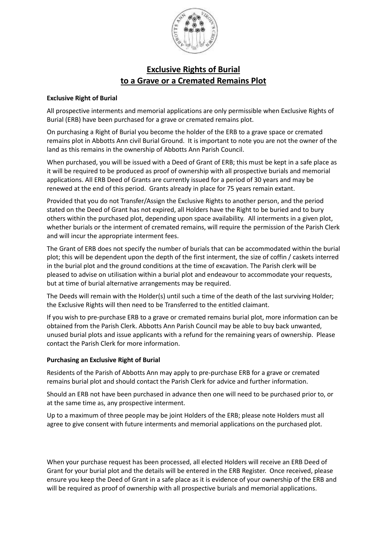

# **Exclusive Rights of Burial to a Grave or a Cremated Remains Plot**

### **Exclusive Right of Burial**

All prospective interments and memorial applications are only permissible when Exclusive Rights of Burial (ERB) have been purchased for a grave or cremated remains plot.

On purchasing a Right of Burial you become the holder of the ERB to a grave space or cremated remains plot in Abbotts Ann civil Burial Ground. It is important to note you are not the owner of the land as this remains in the ownership of Abbotts Ann Parish Council.

When purchased, you will be issued with a Deed of Grant of ERB; this must be kept in a safe place as it will be required to be produced as proof of ownership with all prospective burials and memorial applications. All ERB Deed of Grants are currently issued for a period of 30 years and may be renewed at the end of this period. Grants already in place for 75 years remain extant.

Provided that you do not Transfer/Assign the Exclusive Rights to another person, and the period stated on the Deed of Grant has not expired, all Holders have the Right to be buried and to bury others within the purchased plot, depending upon space availability. All interments in a given plot, whether burials or the interment of cremated remains, will require the permission of the Parish Clerk and will incur the appropriate interment fees.

The Grant of ERB does not specify the number of burials that can be accommodated within the burial plot; this will be dependent upon the depth of the first interment, the size of coffin / caskets interred in the burial plot and the ground conditions at the time of excavation. The Parish clerk will be pleased to advise on utilisation within a burial plot and endeavour to accommodate your requests, but at time of burial alternative arrangements may be required.

The Deeds will remain with the Holder(s) until such a time of the death of the last surviving Holder; the Exclusive Rights will then need to be Transferred to the entitled claimant.

If you wish to pre-purchase ERB to a grave or cremated remains burial plot, more information can be obtained from the Parish Clerk. Abbotts Ann Parish Council may be able to buy back unwanted, unused burial plots and issue applicants with a refund for the remaining years of ownership. Please contact the Parish Clerk for more information.

## **Purchasing an Exclusive Right of Burial**

Residents of the Parish of Abbotts Ann may apply to pre-purchase ERB for a grave or cremated remains burial plot and should contact the Parish Clerk for advice and further information.

Should an ERB not have been purchased in advance then one will need to be purchased prior to, or at the same time as, any prospective interment.

Up to a maximum of three people may be joint Holders of the ERB; please note Holders must all agree to give consent with future interments and memorial applications on the purchased plot.

When your purchase request has been processed, all elected Holders will receive an ERB Deed of Grant for your burial plot and the details will be entered in the ERB Register. Once received, please ensure you keep the Deed of Grant in a safe place as it is evidence of your ownership of the ERB and will be required as proof of ownership with all prospective burials and memorial applications.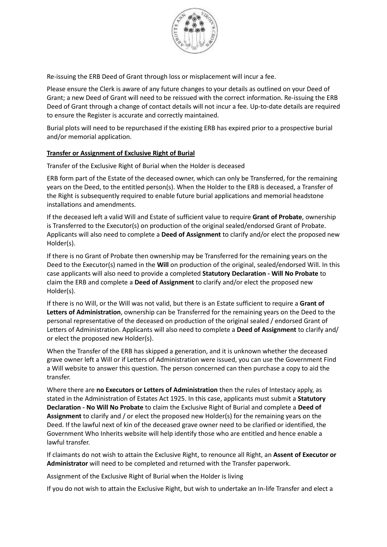

Re-issuing the ERB Deed of Grant through loss or misplacement will incur a fee.

Please ensure the Clerk is aware of any future changes to your details as outlined on your Deed of Grant; a new Deed of Grant will need to be reissued with the correct information. Re-issuing the ERB Deed of Grant through a change of contact details will not incur a fee. Up-to-date details are required to ensure the Register is accurate and correctly maintained.

Burial plots will need to be repurchased if the existing ERB has expired prior to a prospective burial and/or memorial application.

### **Transfer or Assignment of Exclusive Right of Burial**

Transfer of the Exclusive Right of Burial when the Holder is deceased

ERB form part of the Estate of the deceased owner, which can only be Transferred, for the remaining years on the Deed, to the entitled person(s). When the Holder to the ERB is deceased, a Transfer of the Right is subsequently required to enable future burial applications and memorial headstone installations and amendments.

If the deceased left a valid Will and Estate of sufficient value to require **Grant of Probate**, ownership is Transferred to the Executor(s) on production of the original sealed/endorsed Grant of Probate. Applicants will also need to complete a **Deed of Assignment** to clarify and/or elect the proposed new Holder(s).

If there is no Grant of Probate then ownership may be Transferred for the remaining years on the Deed to the Executor(s) named in the **Will** on production of the original, sealed/endorsed Will. In this case applicants will also need to provide a completed **Statutory Declaration - Will No Probate** to claim the ERB and complete a **Deed of Assignment** to clarify and/or elect the proposed new Holder(s).

If there is no Will, or the Will was not valid, but there is an Estate sufficient to require a **Grant of Letters of Administration**, ownership can be Transferred for the remaining years on the Deed to the personal representative of the deceased on production of the original sealed / endorsed Grant of Letters of Administration. Applicants will also need to complete a **Deed of Assignment** to clarify and/ or elect the proposed new Holder(s).

When the Transfer of the ERB has skipped a generation, and it is unknown whether the deceased grave owner left a Will or if Letters of Administration were issued, you can use the Government Find a Will website to answer this question. The person concerned can then purchase a copy to aid the transfer.

Where there are **no Executors or Letters of Administration** then the rules of Intestacy apply, as stated in the Administration of Estates Act 1925. In this case, applicants must submit a **Statutory Declaration - No Will No Probate** to claim the Exclusive Right of Burial and complete a **Deed of Assignment** to clarify and / or elect the proposed new Holder(s) for the remaining years on the Deed. If the lawful next of kin of the deceased grave owner need to be clarified or identified, the Government Who Inherits website will help identify those who are entitled and hence enable a lawful transfer.

If claimants do not wish to attain the Exclusive Right, to renounce all Right, an **Assent of Executor or Administrator** will need to be completed and returned with the Transfer paperwork.

Assignment of the Exclusive Right of Burial when the Holder is living

If you do not wish to attain the Exclusive Right, but wish to undertake an In-life Transfer and elect a